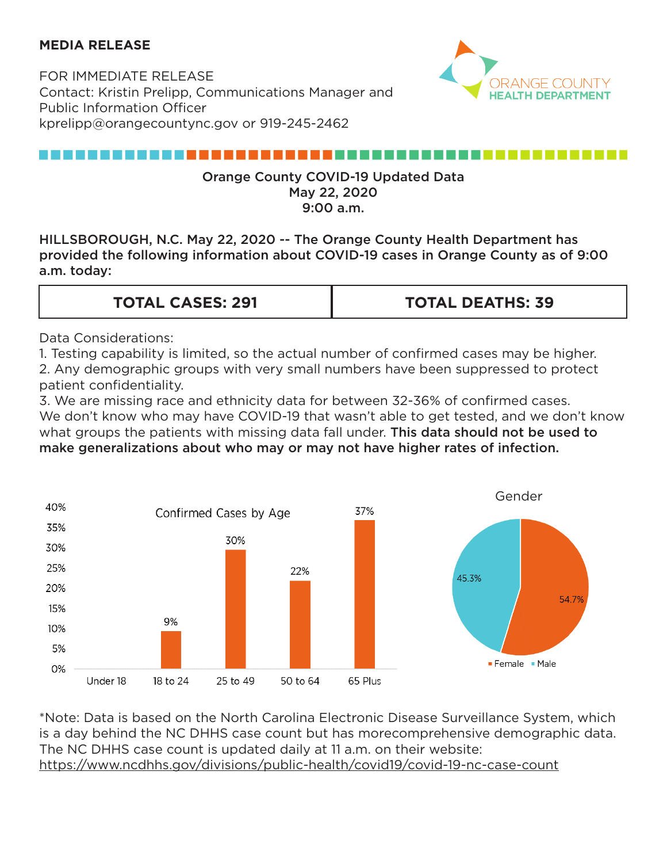## **MEDIA RELEASE**

FOR IMMEDIATE RELEASE Contact: Kristin Prelipp, Communications Manager and Public Information Officer kprelipp@orangecountync.gov or 919-245-2462



# ,,,,,,,,,,,,,,,,,,,,,,,,,,,

### Orange County COVID-19 Updated Data May 22, 2020 9:00 a.m.

HILLSBOROUGH, N.C. May 22, 2020 -- The Orange County Health Department has provided the following information about COVID-19 cases in Orange County as of 9:00 a.m. today:

| <b>TOTAL CASES: 291</b> | <b>TOTAL DEATHS: 39</b> |
|-------------------------|-------------------------|
|                         |                         |

Data Considerations:

1. Testing capability is limited, so the actual number of confirmed cases may be higher. 2. Any demographic groups with very small numbers have been suppressed to protect patient confidentiality.

3. We are missing race and ethnicity data for between 32-36% of confirmed cases. We don't know who may have COVID-19 that wasn't able to get tested, and we don't know what groups the patients with missing data fall under. This data should not be used to make generalizations about who may or may not have higher rates of infection.



\*Note: Data is based on the North Carolina Electronic Disease Surveillance System, which is a day behind the NC DHHS case count but has morecomprehensive demographic data. The NC DHHS case count is updated daily at 11 a.m. on their website: <https://www.ncdhhs.gov/divisions/public-health/covid19/covid-19-nc-case-count>